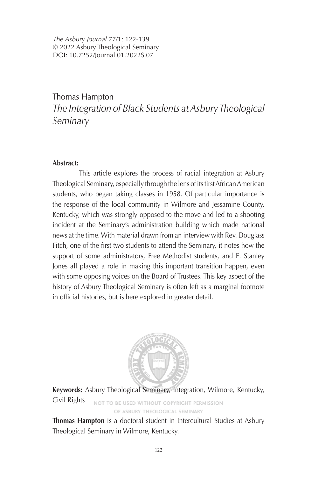*The Asbury Journal* 77/1: 122-139 © 2022 Asbury Theological Seminary DOI: 10.7252/Journal.01.2022S.07

### Thomas Hampton *The Integration of Black Students at Asbury Theological Seminary*

### **Abstract:**

This article explores the process of racial integration at Asbury Theological Seminary, especially through the lens of its first African American students, who began taking classes in 1958. Of particular importance is the response of the local community in Wilmore and Jessamine County, Kentucky, which was strongly opposed to the move and led to a shooting incident at the Seminary's administration building which made national news at the time. With material drawn from an interview with Rev. Douglass Fitch, one of the first two students to attend the Seminary, it notes how the support of some administrators, Free Methodist students, and E. Stanley Jones all played a role in making this important transition happen, even with some opposing voices on the Board of Trustees. This key aspect of the history of Asbury Theological Seminary is often left as a marginal footnote in official histories, but is here explored in greater detail.



**Keywords:** Asbury Theological Seminary, integration, Wilmore, Kentucky, Civil Rights NOT TO BE USED WITHOUT COPYRIGHT PERMISSION OF ASBURY THEOLOGICAL SEMINARY

**Thomas Hampton** is a doctoral student in Intercultural Studies at Asbury Theological Seminary in Wilmore, Kentucky.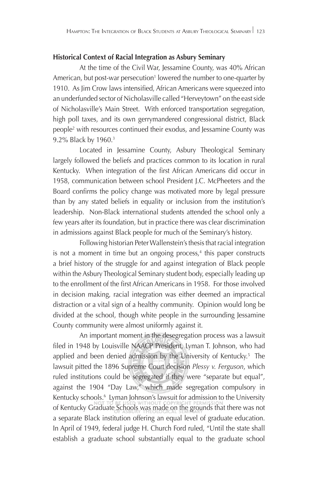#### **Historical Context of Racial Integration as Asbury Seminary**

At the time of the Civil War, Jessamine County, was 40% African American, but post-war persecution<sup>1</sup> lowered the number to one-quarter by 1910. As Jim Crow laws intensified, African Americans were squeezed into an underfunded sector of Nicholasville called "Herveytown" on the east side of Nicholasville's Main Street. With enforced transportation segregation, high poll taxes, and its own gerrymandered congressional district, Black people2 with resources continued their exodus, and Jessamine County was 9.2% Black by 1960.3

Located in Jessamine County, Asbury Theological Seminary largely followed the beliefs and practices common to its location in rural Kentucky. When integration of the first African Americans did occur in 1958, communication between school President J.C. McPheeters and the Board confirms the policy change was motivated more by legal pressure than by any stated beliefs in equality or inclusion from the institution's leadership. Non-Black international students attended the school only a few years after its foundation, but in practice there was clear discrimination in admissions against Black people for much of the Seminary's history.

Following historian Peter Wallenstein's thesis that racial integration is not a moment in time but an ongoing process, $4$  this paper constructs a brief history of the struggle for and against integration of Black people within the Asbury Theological Seminary student body, especially leading up to the enrollment of the first African Americans in 1958. For those involved in decision making, racial integration was either deemed an impractical distraction or a vital sign of a healthy community. Opinion would long be divided at the school, though white people in the surrounding Jessamine County community were almost uniformly against it.

An important moment in the desegregation process was a lawsuit filed in 1948 by Louisville NAACP President, Lyman T. Johnson, who had applied and been denied admission by the University of Kentucky.<sup>5</sup> The lawsuit pitted the 1896 Supreme Court decision *Plessy v. Ferguson*, which ruled institutions could be segregated if they were "separate but equal", against the 1904 "Day Law," which made segregation compulsory in Kentucky schools.6 Lyman Johnson's lawsuit for admission to the University of Kentucky Graduate Schools was made on the grounds that there was not a separate Black institution offering an equal level of graduate education. In April of 1949, federal judge H. Church Ford ruled, "Until the state shall establish a graduate school substantially equal to the graduate school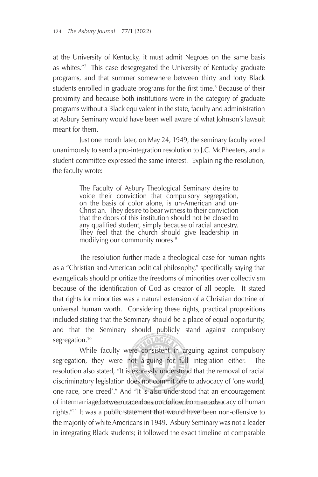at the University of Kentucky, it must admit Negroes on the same basis as whites."7 This case desegregated the University of Kentucky graduate programs, and that summer somewhere between thirty and forty Black students enrolled in graduate programs for the first time.<sup>8</sup> Because of their proximity and because both institutions were in the category of graduate programs without a Black equivalent in the state, faculty and administration at Asbury Seminary would have been well aware of what Johnson's lawsuit meant for them.

Just one month later, on May 24, 1949, the seminary faculty voted unanimously to send a pro-integration resolution to J.C. McPheeters, and a student committee expressed the same interest. Explaining the resolution, the faculty wrote:

> The Faculty of Asbury Theological Seminary desire to voice their conviction that compulsory segregation, on the basis of color alone, is un-American and un-Christian. They desire to bear witness to their conviction that the doors of this institution should not be closed to any qualified student, simply because of racial ancestry. They feel that the church should give leadership in modifying our community mores.<sup>9</sup>

The resolution further made a theological case for human rights as a "Christian and American political philosophy," specifically saying that evangelicals should prioritize the freedoms of minorities over collectivism because of the identification of God as creator of all people. It stated that rights for minorities was a natural extension of a Christian doctrine of universal human worth. Considering these rights, practical propositions included stating that the Seminary should be a place of equal opportunity, and that the Seminary should publicly stand against compulsory segregation.<sup>10</sup>

While faculty were consistent in arguing against compulsory segregation, they were not arguing for full integration either. The resolution also stated, "It is expressly understood that the removal of racial discriminatory legislation does not commit one to advocacy of 'one world, one race, one creed'." And "It is also understood that an encouragement of intermarriage between race does not follow from an advocacy of human rights."11 It was a public statement that would have been non-offensive to the majority of white Americans in 1949. Asbury Seminary was not a leader in integrating Black students; it followed the exact timeline of comparable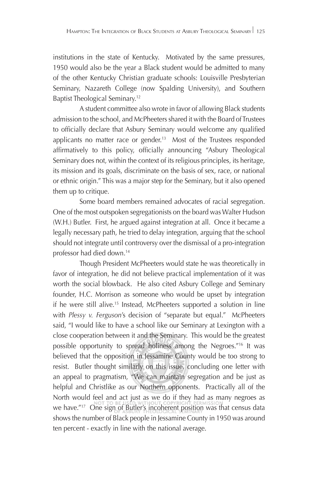institutions in the state of Kentucky. Motivated by the same pressures, 1950 would also be the year a Black student would be admitted to many of the other Kentucky Christian graduate schools: Louisville Presbyterian Seminary, Nazareth College (now Spalding University), and Southern Baptist Theological Seminary.12

A student committee also wrote in favor of allowing Black students admission to the school, and McPheeters shared it with the Board of Trustees to officially declare that Asbury Seminary would welcome any qualified applicants no matter race or gender.<sup>13</sup> Most of the Trustees responded affirmatively to this policy, officially announcing "Asbury Theological Seminary does not, within the context of its religious principles, its heritage, its mission and its goals, discriminate on the basis of sex, race, or national or ethnic origin." This was a major step for the Seminary, but it also opened them up to critique.

Some board members remained advocates of racial segregation. One of the most outspoken segregationists on the board was Walter Hudson (W.H.) Butler. First, he argued against integration at all. Once it became a legally necessary path, he tried to delay integration, arguing that the school should not integrate until controversy over the dismissal of a pro-integration professor had died down.14

Though President McPheeters would state he was theoretically in favor of integration, he did not believe practical implementation of it was worth the social blowback. He also cited Asbury College and Seminary founder, H.C. Morrison as someone who would be upset by integration if he were still alive.15 Instead, McPheeters supported a solution in line with *Plessy v. Ferguson*'s decision of "separate but equal." McPheeters said, "I would like to have a school like our Seminary at Lexington with a close cooperation between it and the Seminary. This would be the greatest possible opportunity to spread holiness among the Negroes."16 It was believed that the opposition in Jessamine County would be too strong to resist. Butler thought similarly on this issue, concluding one letter with an appeal to pragmatism, "We can maintain segregation and be just as helpful and Christlike as our Northern opponents. Practically all of the North would feel and act just as we do if they had as many negroes as we have."<sup>17</sup> One sign of Butler's incoherent position was that census data shows the number of Black people in Jessamine County in 1950 was around ten percent - exactly in line with the national average.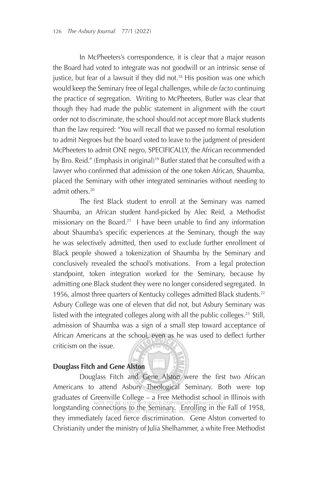In McPheeters's correspondence, it is clear that a major reason the Board had voted to integrate was not goodwill or an intrinsic sense of justice, but fear of a lawsuit if they did not.<sup>18</sup> His position was one which would keep the Seminary free of legal challenges, while *de facto* continuing the practice of segregation. Writing to McPheeters, Butler was clear that though they had made the public statement in alignment with the court order not to discriminate, the school should not accept more Black students than the law required: "You will recall that we passed no formal resolution to admit Negroes but the board voted to leave to the judgment of president McPheeters to admit ONE negro, SPECIFICALLY, the African recommended by Bro. Reid." (Emphasis in original)<sup>19</sup> Butler stated that he consulted with a lawyer who confirmed that admission of the one token African, Shaumba, placed the Seminary with other integrated seminaries without needing to admit others.20

The first Black student to enroll at the Seminary was named Shaumba, an African student hand-picked by Alec Reid, a Methodist missionary on the Board.<sup>21</sup> I have been unable to find any information about Shaumba's specific experiences at the Seminary, though the way he was selectively admitted, then used to exclude further enrollment of Black people showed a tokenization of Shaumba by the Seminary and conclusively revealed the school's motivations. From a legal protection standpoint, token integration worked for the Seminary, because by admitting one Black student they were no longer considered segregated. In 1956, almost three quarters of Kentucky colleges admitted Black students.<sup>22</sup> Asbury College was one of eleven that did not, but Asbury Seminary was listed with the integrated colleges along with all the public colleges.<sup>23</sup> Still, admission of Shaumba was a sign of a small step toward acceptance of African Americans at the school, even as he was used to deflect further criticism on the issue.

#### **Douglass Fitch and Gene Alston**

Douglass Fitch and Gene Alston were the first two African Americans to attend Asbury Theological Seminary. Both were top graduates of Greenville College – a Free Methodist school in Illinois with longstanding connections to the Seminary. Enrolling in the Fall of 1958, they immediately faced fierce discrimination. Gene Alston converted to Christianity under the ministry of Julia Shelhammer, a white Free Methodist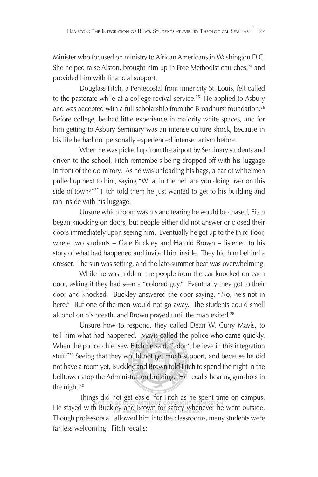Minister who focused on ministry to African Americans in Washington D.C. She helped raise Alston, brought him up in Free Methodist churches,  $24$  and provided him with financial support.

Douglass Fitch, a Pentecostal from inner-city St. Louis, felt called to the pastorate while at a college revival service.<sup>25</sup> He applied to Asbury and was accepted with a full scholarship from the Broadhurst foundation.<sup>26</sup> Before college, he had little experience in majority white spaces, and for him getting to Asbury Seminary was an intense culture shock, because in his life he had not personally experienced intense racism before.

When he was picked up from the airport by Seminary students and driven to the school, Fitch remembers being dropped off with his luggage in front of the dormitory. As he was unloading his bags, a car of white men pulled up next to him, saying "What in the hell are you doing over on this side of town?"<sup>27</sup> Fitch told them he just wanted to get to his building and ran inside with his luggage.

Unsure which room was his and fearing he would be chased, Fitch began knocking on doors, but people either did not answer or closed their doors immediately upon seeing him. Eventually he got up to the third floor, where two students – Gale Buckley and Harold Brown – listened to his story of what had happened and invited him inside. They hid him behind a dresser. The sun was setting, and the late-summer heat was overwhelming.

While he was hidden, the people from the car knocked on each door, asking if they had seen a "colored guy." Eventually they got to their door and knocked. Buckley answered the door saying, "No, he's not in here." But one of the men would not go away. The students could smell alcohol on his breath, and Brown prayed until the man exited.<sup>28</sup>

Unsure how to respond, they called Dean W. Curry Mavis, to tell him what had happened. Mavis called the police who came quickly. When the police chief saw Fitch he said, "I don't believe in this integration stuff."29 Seeing that they would not get much support, and because he did not have a room yet, Buckley and Brown told Fitch to spend the night in the belltower atop the Administration building. He recalls hearing gunshots in the night.<sup>30</sup>

 Things did not get easier for Fitch as he spent time on campus. He stayed with Buckley and Brown for safety whenever he went outside. Though professors all allowed him into the classrooms, many students were far less welcoming. Fitch recalls: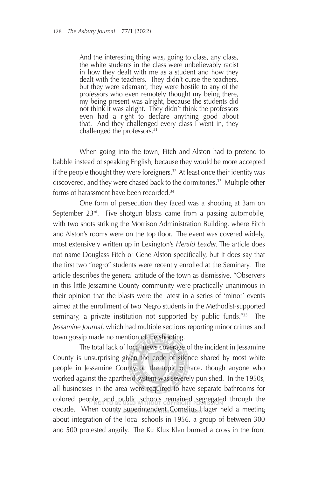And the interesting thing was, going to class, any class, the white students in the class were unbelievably racist in how they dealt with me as a student and how they dealt with the teachers. They didn't curse the teachers, but they were adamant, they were hostile to any of the professors who even remotely thought my being there, my being present was alright, because the students did not think it was alright. They didn't think the professors even had a right to declare anything good about that. And they challenged every class I went in, they challenged the professors.<sup>31</sup>

 When going into the town, Fitch and Alston had to pretend to babble instead of speaking English, because they would be more accepted if the people thought they were foreigners.<sup>32</sup> At least once their identity was discovered, and they were chased back to the dormitories.<sup>33</sup> Multiple other forms of harassment have been recorded.<sup>34</sup>

One form of persecution they faced was a shooting at 3am on September  $23^{rd}$ . Five shotgun blasts came from a passing automobile, with two shots striking the Morrison Administration Building, where Fitch and Alston's rooms were on the top floor. The event was covered widely, most extensively written up in Lexington's *Herald Leader.* The article does not name Douglass Fitch or Gene Alston specifically, but it does say that the first two "negro" students were recently enrolled at the Seminary. The article describes the general attitude of the town as dismissive. "Observers in this little Jessamine County community were practically unanimous in their opinion that the blasts were the latest in a series of 'minor' events aimed at the enrollment of two Negro students in the Methodist-supported seminary, a private institution not supported by public funds."<sup>35</sup> The *Jessamine Journal*, which had multiple sections reporting minor crimes and town gossip made no mention of the shooting.

The total lack of local news coverage of the incident in Jessamine County is unsurprising given the code of silence shared by most white people in Jessamine County on the topic of race, though anyone who worked against the apartheid system was severely punished. In the 1950s, all businesses in the area were required to have separate bathrooms for colored people, and public schools remained segregated through the decade. When county superintendent Cornelius Hager held a meeting about integration of the local schools in 1956, a group of between 300 and 500 protested angrily. The Ku Klux Klan burned a cross in the front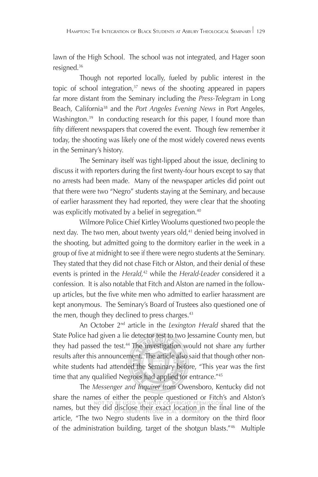lawn of the High School. The school was not integrated, and Hager soon resigned.36

Though not reported locally, fueled by public interest in the topic of school integration, $37$  news of the shooting appeared in papers far more distant from the Seminary including the *Press-Telegram* in Long Beach, California38 and the *Port Angeles Evening News* in Port Angeles, Washington.<sup>39</sup> In conducting research for this paper, I found more than fifty different newspapers that covered the event. Though few remember it today, the shooting was likely one of the most widely covered news events in the Seminary's history.

The Seminary itself was tight-lipped about the issue, declining to discuss it with reporters during the first twenty-four hours except to say that no arrests had been made. Many of the newspaper articles did point out that there were two "Negro" students staying at the Seminary, and because of earlier harassment they had reported, they were clear that the shooting was explicitly motivated by a belief in segregation.<sup>40</sup>

Wilmore Police Chief Kirtley Woolums questioned two people the next day. The two men, about twenty years old, $41$  denied being involved in the shooting, but admitted going to the dormitory earlier in the week in a group of five at midnight to see if there were negro students at the Seminary. They stated that they did not chase Fitch or Alston, and their denial of these events is printed in the *Herald,*42 while the *Herald-Leader* considered it a confession*.* It is also notable that Fitch and Alston are named in the follow up articles, but the five white men who admitted to earlier harassment are kept anonymous. The Seminary's Board of Trustees also questioned one of the men, though they declined to press charges. $43$ 

An October 2nd article in the *Lexington Herald* shared that the State Police had given a lie detector test to two Jessamine County men, but they had passed the test.<sup>44</sup> The investigation would not share any further results after this announcement. The article also said that though other non white students had attended the Seminary before, "This year was the first time that any qualified Negroes had applied for entrance."45

The *Messenger and Inquirer* from Owensboro, Kentucky did not share the names of either the people questioned or Fitch's and Alston's names, but they did disclose their exact location in the final line of the article, "The two Negro students live in a dormitory on the third floor of the administration building, target of the shotgun blasts."46 Multiple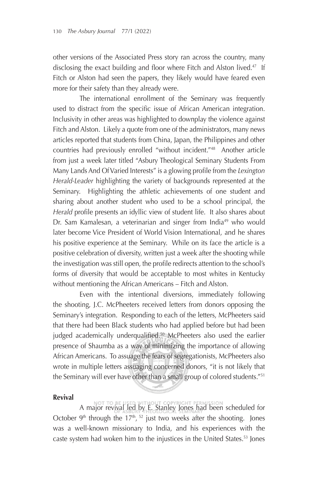other versions of the Associated Press story ran across the country, many disclosing the exact building and floor where Fitch and Alston lived.<sup>47</sup> If Fitch or Alston had seen the papers, they likely would have feared even more for their safety than they already were.

The international enrollment of the Seminary was frequently used to distract from the specific issue of African American integration. Inclusivity in other areas was highlighted to downplay the violence against Fitch and Alston. Likely a quote from one of the administrators, many news articles reported that students from China, Japan, the Philippines and other countries had previously enrolled "without incident."48 Another article from just a week later titled "Asbury Theological Seminary Students From Many Lands And Of Varied Interests" is a glowing profile from the Lexington *Herald-Leader* highlighting the variety of backgrounds represented at the Seminary. Highlighting the athletic achievements of one student and sharing about another student who used to be a school principal, the Herald profile presents an idyllic view of student life. It also shares about Dr. Sam Kamalesan, a veterinarian and singer from India<sup>49</sup> who would later become Vice President of World Vision International, and he shares his positive experience at the Seminary. While on its face the article is a positive celebration of diversity, written just a week after the shooting while the investigation was still open, the profile redirects attention to the school's forms of diversity that would be acceptable to most whites in Kentucky without mentioning the African Americans – Fitch and Alston.

 Even with the intentional diversions, immediately following the shooting, J.C. McPheeters received letters from donors opposing the Seminary's integration. Responding to each of the letters, McPheeters said that there had been Black students who had applied before but had been judged academically underqualified.<sup>50</sup> McPheeters also used the earlier presence of Shaumba as a way of minimizing the importance of allowing African Americans. To assuage the fears of segregationists, McPheeters also wrote in multiple letters assuaging concerned donors, "it is not likely that the Seminary will ever have other than a small group of colored students."51

#### **Revival**

A major revival led by E. Stanley Jones had been scheduled for October  $9<sup>th</sup>$  through the 17<sup>th</sup>,  $52$  just two weeks after the shooting. Jones was a well-known missionary to India, and his experiences with the caste system had woken him to the injustices in the United States.<sup>53</sup> Jones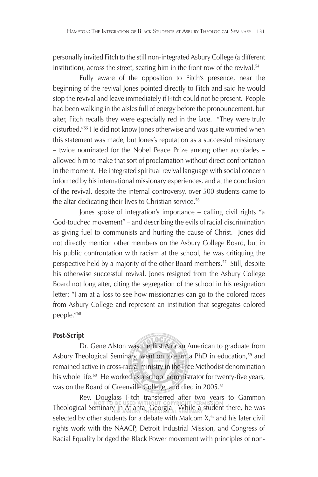personally invited Fitch to the still non-integrated Asbury College (a different institution), across the street, seating him in the front row of the revival.<sup>54</sup>

Fully aware of the opposition to Fitch's presence, near the beginning of the revival Jones pointed directly to Fitch and said he would stop the revival and leave immediately if Fitch could not be present. People had been walking in the aisles full of energy before the pronouncement, but after, Fitch recalls they were especially red in the face. "They were truly disturbed."55 He did not know Jones otherwise and was quite worried when this statement was made, but Jones's reputation as a successful missionary – twice nominated for the Nobel Peace Prize among other accolades – allowed him to make that sort of proclamation without direct confrontation in the moment. He integrated spiritual revival language with social concern informed by his international missionary experiences, and at the conclusion of the revival, despite the internal controversy, over 500 students came to the altar dedicating their lives to Christian service.<sup>56</sup>

Jones spoke of integration's importance – calling civil rights "a God-touched movement" – and describing the evils of racial discrimination as giving fuel to communists and hurting the cause of Christ. Jones did not directly mention other members on the Asbury College Board, but in his public confrontation with racism at the school, he was critiquing the perspective held by a majority of the other Board members.<sup>57</sup> Still, despite his otherwise successful revival, Jones resigned from the Asbury College Board not long after, citing the segregation of the school in his resignation letter: "I am at a loss to see how missionaries can go to the colored races from Asbury College and represent an institution that segregates colored people."58

#### **Post-Script**

Dr. Gene Alston was the first African American to graduate from Asbury Theological Seminary, went on to earn a PhD in education,<sup>59</sup> and remained active in cross-racial ministry in the Free Methodist denomination his whole life.<sup>60</sup> He worked as a school administrator for twenty-five years, was on the Board of Greenville College, and died in 2005.<sup>61</sup>

 Rev. Douglass Fitch transferred after two years to Gammon Theological Seminary in Atlanta, Georgia. While a student there, he was selected by other students for a debate with Malcom  $X$ ,<sup>62</sup> and his later civil rights work with the NAACP, Detroit Industrial Mission, and Congress of Racial Equality bridged the Black Power movement with principles of non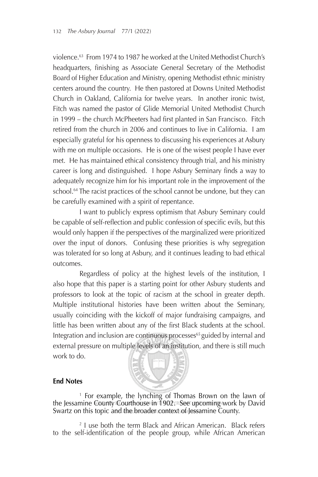violence.63 From 1974 to 1987 he worked at the United Methodist Church's headquarters, finishing as Associate General Secretary of the Methodist Board of Higher Education and Ministry, opening Methodist ethnic ministry centers around the country. He then pastored at Downs United Methodist Church in Oakland, California for twelve years. In another ironic twist, Fitch was named the pastor of Glide Memorial United Methodist Church in 1999 – the church McPheeters had first planted in San Francisco. Fitch retired from the church in 2006 and continues to live in California. I am especially grateful for his openness to discussing his experiences at Asbury with me on multiple occasions. He is one of the wisest people I have ever met. He has maintained ethical consistency through trial, and his ministry career is long and distinguished. I hope Asbury Seminary finds a way to adequately recognize him for his important role in the improvement of the school.<sup>64</sup> The racist practices of the school cannot be undone, but they can be carefully examined with a spirit of repentance.

 I want to publicly express optimism that Asbury Seminary could be capable of self-reflection and public confession of specific evils, but this would only happen if the perspectives of the marginalized were prioritized over the input of donors. Confusing these priorities is why segregation was tolerated for so long at Asbury, and it continues leading to bad ethical outcomes.

Regardless of policy at the highest levels of the institution, I also hope that this paper is a starting point for other Asbury students and professors to look at the topic of racism at the school in greater depth. Multiple institutional histories have been written about the Seminary, usually coinciding with the kickoff of major fundraising campaigns, and little has been written about any of the first Black students at the school. Integration and inclusion are continuous processes<sup>65</sup> guided by internal and external pressure on multiple levels of an institution, and there is still much work to do.



### **End Notes**

1 For example, the lynching of Thomas Brown on the lawn of the Jessamine County Courthouse in 1902. See upcoming work by David Swartz on this topic and the broader context of Jessamine County.

2 I use both the term Black and African American. Black refers to the self-identification of the people group, while African American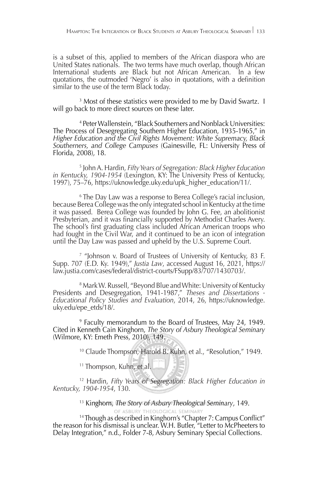is a subset of this, applied to members of the African diaspora who are United States nationals. The two terms have much overlap, though African International students are Black but not African American. In a few quotations, the outmoded 'Negro' is also in quotations, with a definition similar to the use of the term Black today.

<sup>3</sup> Most of these statistics were provided to me by David Swartz. 1 will go back to more direct sources on these later.

4 Peter Wallenstein, "Black Southerners and Nonblack Universities: The Process of Desegregating Southern Higher Education, 1935-1965," in *Higher Education and the Civil Rights Movement: White Supremacy, Black Southerners, and College Campuses* (Gainesville, FL: University Press of Florida, 2008), 18.

<sup>5</sup> John A. Hardin, *Fifty Years of Segregation: Black Higher Education in Kentucky, 1904-1954* (Lexington, KY: The University Press of Kentucky,<br>1997), 75–76, https://uknowledge.uky.edu/upk\_higher\_education/11/.

<sup>6</sup> The Day Law was a response to Berea College's racial inclusion, because Berea College was the only integrated school in Kentucky at the time it was passed. Berea College was founded by John G. Fee, an abolitionist Presbyterian, and it was financially supported by Methodist Charles Avery. The school's first graduating class included African American troops who had fought in the Civil War, and it continued to be an icon of integration until the Day Law was passed and upheld by the U.S. Supreme Court.

7 "Johnson v. Board of Trustees of University of Kentucky, 83 F. Supp. 707 (E.D. Ky. 1949)," *Justia Law*, accessed August 16, 2021, https:// law.justia.com/cases/federal/district-courts/FSupp/83/707/1430703/.

8 Mark W. Russell, "Beyond Blue and White: University of Kentucky Presidents and Desegregation, 1941-1987," *Theses and Dissertations - Educational Policy Studies and Evaluation*, 2014, 26, https://uknowledge. uky.edu/epe\_etds/18/.

<sup>9</sup> Faculty memorandum to the Board of Trustees, May 24, 1949. Fited in Kenneth Cain Kinghorn, The Story of Asbury Theological Seminary (Wilmore, KY: Emeth Press, 2010), 149.

10 Claude Thompson, Harold B. Kuhn, et al., "Resolution," 1949.

<sup>11</sup> Thompson, Kuhn, et al.

12 Hardin, *Fifty Years of Segregation: Black Higher Education in Kentucky, 1904-1954*, 130.

13 Kinghorn, *The Story of Asbury Theological Seminary*, 149.

<sup>14</sup> Though as described in Kinghorn's "Chapter 7: Campus Conflict" the reason for his dismissal is unclear. W.H. Butler, "Letter to McPheeters to Delay Integration," n.d., Folder 7-8, Asbury Seminary Special Collections.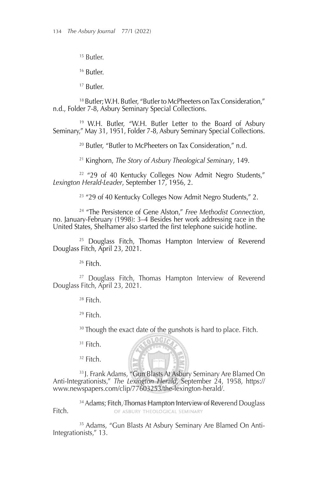15 Butler.

16 Butler.

17 Butler.

18 Butler; W.H. Butler, "Butler to McPheeters on Tax Consideration," n.d., Folder 7-8, Asbury Seminary Special Collections.

19 W.H. Butler, "W.H. Butler Letter to the Board of Asbury Seminary," May 31, 1951, Folder 7-8, Asbury Seminary Special Collections.

20 Butler, "Butler to McPheeters on Tax Consideration," n.d.

21 Kinghorn, *The Story of Asbury Theological Seminary*, 149.

22 "29 of 40 Kentucky Colleges Now Admit Negro Students," *Lexington Herald-Leader*, September 17, 1956, 2.

23 "29 of 40 Kentucky Colleges Now Admit Negro Students," 2.

<sup>24</sup> "The Persistence of Gene Alston," Free Methodist Connection, no. January-February (1998): 3–4 Besides her work addressing race in the United States, Shelhamer also started the first telephone suicide hotline.

25 Douglass Fitch, Thomas Hampton Interview of Reverend Douglass Fitch, April 23, 2021.

26 Fitch.

<sup>27</sup> Douglass Fitch, Thomas Hampton Interview of Reverend Douglass Fitch, April 23, 2021.

 $28$  Fitch.

29 Fitch.

 $30$  Though the exact date of the gunshots is hard to place. Fitch.

 $31$  Fitch.

 $32$  Fitch.

33 J. Frank Adams, "Gun Blasts At Asbury Seminary Are Blamed On Anti-Integrationists," *The Lexington Herald*, September 24, 1958, https:// www.newspapers.com/clip/77603253/the-lexington-herald/.

**SLOGIC** 

<sup>34</sup> Adams; Fitch, Thomas Hampton Interview of Reverend Douglass<br>OF ASBURY THEOLOGICAL SEMINARY Fitch.

<sup>35</sup> Adams, "Gun Blasts At Asbury Seminary Are Blamed On Anti-Integrationists," 13.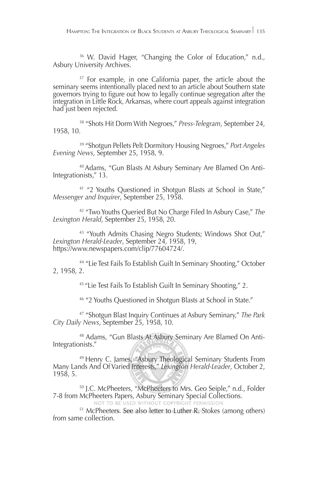36 W. David Hager, "Changing the Color of Education," n.d., Asbury University Archives.

<sup>37</sup> For example, in one California paper, the article about the seminary seems intentionally placed next to an article about Southern state governors trying to figure out how to legally continue segregation after the integration in Little Rock, Arkansas, where court appeals against integration had just been rejected.

38 "Shots Hit Dorm With Negroes," *Press-Telegram*, September 24, 1958, 10.

39 "Shotgun Pellets Pelt Dormitory Housing Negroes," *Port Angeles Evening News*, September 25, 1958, 9.

40 Adams, "Gun Blasts At Asbury Seminary Are Blamed On Anti-Integrationists," 13.

41 "2 Youths Questioned in Shotgun Blasts at School in State," *Messenger and Inquirer*, September 25, 1958.

42 "Two Youths Queried But No Charge Filed In Asbury Case," *The Lexington Herald*, September 25, 1958, 20.

<sup>43</sup> "Youth Admits Chasing Negro Students; Windows Shot Out," Lexington Herald-Leader, September 24, 1958, 19, https://www.newspapers.com/clip/77604724/.

44 "Lie Test Fails To Establish Guilt In Seminary Shooting," October 2, 1958, 2.

45 "Lie Test Fails To Establish Guilt In Seminary Shooting," 2.

46 "2 Youths Questioned in Shotgun Blasts at School in State."

47 "Shotgun Blast Inquiry Continues at Asbury Seminary," *The Park City Daily News*, September 25, 1958, 10.

48 Adams, "Gun Blasts At Asbury Seminary Are Blamed On Anti-Integrationists."

49 Henry C. James, "Asbury Theological Seminary Students From Many Lands And Of Varied Interests," *Lexington Herald-Leader*, October 2, 1958, 5.

50 J.C. McPheeters, "McPheeters to Mrs. Geo Seiple," n.d., Folder 7-8 from McPheeters Papers, Asbury Seminary Special Collections.

<sup>51</sup> McPheeters. See also letter to Luther R. Stokes (among others) from same collection.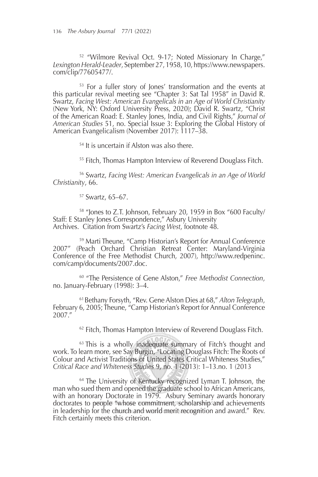52 "Wilmore Revival Oct. 9-17; Noted Missionary In Charge," *Lexington Herald-Leader*, September 27, 1958, 10, https://www.newspapers. com/clip/77605477/.

53 For a fuller story of Jones' transformation and the events at this particular revival meeting see "Chapter 3: Sat Tal 1958" in David R. Swartz, *Facing West: American Evangelicals in an Age of World Christianity* (New York, NY: Oxford University Press, 2020); David R. Swartz, "Christ of the American Road: E. Stanley Jones, India, and Civil Rights," *Journal of American Studies* 51, no. Special Issue 3: Exploring the Global History of American Evangelicalism (November 2017): 1117–38.

54 It is uncertain if Alston was also there.

<sup>55</sup> Fitch, Thomas Hampton Interview of Reverend Douglass Fitch.

56 Swartz, *Facing West: American Evangelicals in an Age of World Christianity*, 66.

57 Swartz, 65–67.

58 "Jones to Z.T. Johnson, February 20, 1959 in Box "600 Faculty/ Staff: E Stanley Jones Correspondence," Asbury University Archives. Citation from Swartz's *Facing West*, footnote 48.

59 Marti Theune, "Camp Historian's Report for Annual Conference 2007" (Peach Orchard Christian Retreat Center: Maryland-Virginia Conference of the Free Methodist Church, 2007), http://www.redpeninc. com/camp/documents/2007.doc.

60 "The Persistence of Gene Alston," *Free Methodist Connection*, no. January-February (1998): 3–4.

61 Bethany Forsyth, "Rev. Gene Alston Dies at 68," *Alton Telegraph*, February 6, 2005; Theune, "Camp Historian's Report for Annual Conference 2007."

 $62$  Fitch, Thomas Hampton Interview of Reverend Douglass Fitch.

<sup>63</sup> This is a wholly inadequate summary of Fitch's thought and work. To learn more, see Say Burgin, "Locating Douglass Fitch: The Roots of Colour and Activist Traditions of United States Critical Whiteness Studies," *Critical Race and Whiteness Studies* 9, no. 1 (2013): 1–13.no. 1 (2013

<sup>64</sup> The University of Kentucky recognized Lyman T. Johnson, the man who sued them and opened the graduate school to African Americans, with an honorary Doctorate in 1979. Asbury Seminary awards honorary doctorates to people "whose commitment, scholarship and achievements in leadership for the church and world merit recognition and award." Rev. Fitch certainly meets this criterion.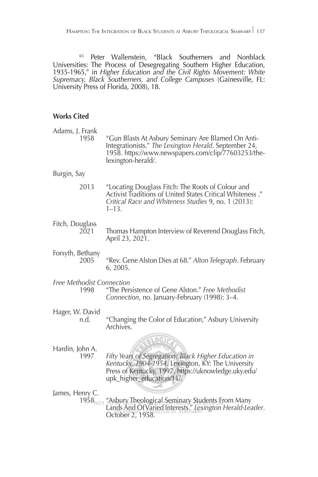<sup>65</sup> Peter Wallenstein, "Black Southerners and Nonblack Universities: The Process of Desegregating Southern Higher Education, 1935-1965," in *Higher Education and the Civil Rights Movement: White Supremacy, Black Southerners, and College Campuses* (Gainesville, FL: University Press of Florida, 2008), 18.

### **Works Cited**

| Adams, J. Frank<br>1958                  | "Gun Blasts At Asbury Seminary Are Blamed On Anti-<br>Integrationists." The Lexington Herald. September 24,<br>1958. https://www.newspapers.com/clip/77603253/the-<br>lexington-herald/.         |
|------------------------------------------|--------------------------------------------------------------------------------------------------------------------------------------------------------------------------------------------------|
| Burgin, Say                              |                                                                                                                                                                                                  |
| 2013                                     | "Locating Douglass Fitch: The Roots of Colour and<br>Activist Traditions of United States Critical Whiteness."<br>Critical Race and Whiteness Studies 9, no. 1 (2013):<br>$1 - 13$ .             |
| Fitch, Douglass<br>2021                  | Thomas Hampton Interview of Reverend Douglass Fitch,<br>April 23, 2021.                                                                                                                          |
| Forsyth, Bethany<br>2005                 | "Rev. Gene Alston Dies at 68." Alton Telegraph. February<br>6, 2005.                                                                                                                             |
| Free Methodist Connection<br>1998        | "The Persistence of Gene Alston." Free Methodist<br>Connection, no. January-February (1998): 3-4.                                                                                                |
| Hager, W. David<br>n.d.                  | "Changing the Color of Education," Asbury University<br>Archives.                                                                                                                                |
| Hardin, John A.<br>1997                  | Fifty Years of Segregation: Black Higher Education in<br>Kentucky, 1904-1954. Lexington, KY: The University<br>Press of Kentucky, 1997. https://uknowledge.uky.edu/<br>upk_higher_education/11/. |
| James, Henry C.<br>$1958$ <sub>NOT</sub> | "Asbury Theological Seminary Students From Many<br>Lands And Of Varied Interests." Lexington Herald-Leader.<br>October 2, 1958.                                                                  |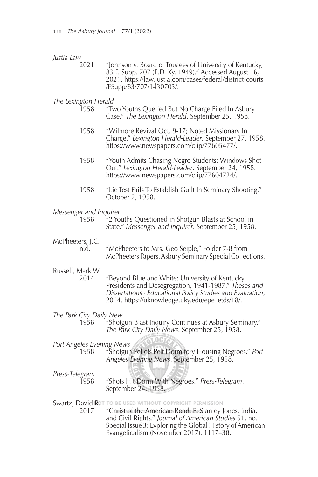#### *Justia Law*

 2021 "Johnson v. Board of Trustees of University of Kentucky, 83 F. Supp. 707 (E.D. Ky. 1949)." Accessed August 16, 2021. https://law.justia.com/cases/federal/district-courts /FSupp/83/707/1430703/.

#### *The Lexington Herald*

- 1958 "Two Youths Queried But No Charge Filed In Asbury Case." *The Lexington Herald*. September 25, 1958.
- 1958 "Wilmore Revival Oct. 9-17; Noted Missionary In Charge." *Lexington Herald-Leader*. September 27, 1958. https://www.newspapers.com/clip/77605477/.
- 1958 "Youth Admits Chasing Negro Students; Windows Shot Out." *Lexington Herald-Leader*. September 24, 1958. https://www.newspapers.com/clip/77604724/.
- 1958 "Lie Test Fails To Establish Guilt In Seminary Shooting." October 2, 1958.

#### *Messenger and Inquirer*

1958 "2 Youths Questioned in Shotgun Blasts at School in State." *Messenger and Inquirer*. September 25, 1958.

### McPheeters, J.C.<br>.n.d.

"McPheeters to Mrs. Geo Seiple," Folder 7-8 from McPheeters Papers. Asbury Seminary Special Collections.

## Russell, Mark W.

"Beyond Blue and White: University of Kentucky Presidents and Desegregation, 1941-1987." *Theses and Dissertations - Educational Policy Studies and Evaluation*, 2014. https://uknowledge.uky.edu/epe\_etds/18/.

## *The Park City Daily New*

"Shotgun Blast Inquiry Continues at Asbury Seminary." *The Park City Daily News*. September 25, 1958.

#### *Port Angeles Evening News*

 1958 "Shotgun Pellets Pelt Dormitory Housing Negroes." *Port Angeles Evening News*. September 25, 1958.

## *Press-Telegram*

 1958 "Shots Hit Dorm With Negroes." *Press-Telegram*. September 24, 1958.

# Swartz, David ROT TO BE USED WITHOUT COPYRIGHT PERMISSION<br>2017 "Christsof the American Road > Exstanley

"Christ of the American Road: E. Stanley Jones, India, and Civil Rights." *Journal of American Studies* 51, no. Special Issue 3: Exploring the Global History of American Evangelicalism (November 2017): 1117–38.